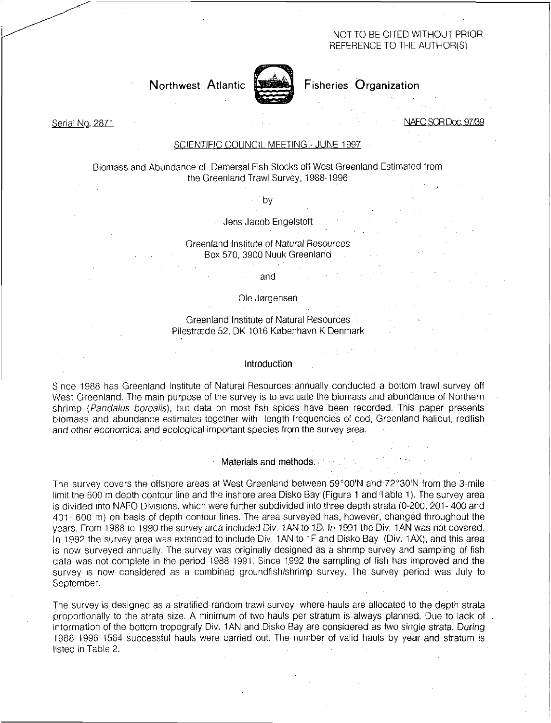## NOT TO BE CITED WITHOUT PRIOR REFERENCE TO THE AUTHOR(S)

Northwest Atlantic

# Fisheries Organization

Serial No. 2871 NAFO\_SCR Doc, 97/39

## SCIENTIFIC COUNCIL MEETING - JUNE 1997

Biomass and Abundance of Demersal Fish Stocks off West Greenland Estimated from the Greenland Trawl Survey, 1988-1996.

by

Jens Jacob Engelstoft

Greenland Institute of Natural Resources Box 570, 3900 Nuuk Greenland

## and

## Ole Jorgensen

## Greenland Institute of Natural Resources Pilestrade 52, DK 1016 Kobenhavn K Denmark

## Introduction

Since 1988 has Greenland Institute of Natural Resources annually conducted a bottom trawl survey off West Greenland. The main purpose of the survey is to evaluate the biomass and abundance of Northern shrimp *(Pandalus borealis),* but data on most fish spices have been recorded. This paper presents biomass and abundance estimates together with length frequencies of cod, Greenland halibut, redfish and other economical and ecological important species from the survey area.

### Materials and methods:

The survey covers the offshore areas at West Greenland between 59°00'N and 72°30'N from the 3-mile limit the 600 m depth contour line and the inshore area Disko Bay (Figure 1 and Table 1). The survey area is divided into NAFO Divisions, which were further subdivided into three depth strata (0-200, 201- 400 and 401- 600 m) on basis of depth contour lines. The area surveyed has, however, changed throughout the years. From 1988 to 1990 the survey area included Div: 1AN to 1D. In 1991 the Div. 1AN was not covered. In 1992 the survey area was extended to include Div. 1AN to 1F and Disko Bay (Div. 1AX), and this area is now surveyed annually. The survey was originally designed as a shrimp survey and sampling of fish data was not complete in the period 1988-1991: Since 1992 the sampling of fish has improved and the survey is now considered as a combined groundfish/shrimp survey. The survey period was July to September.

The survey is designed as a stratified-random trawl survey where hauls are allocated to the depth strata proportionally to the strata size. A minimum of two hauls per stratum is•always planned. Due to lack of information of the bottom tropografy Div. 1AN and Disko Bay are considered as two single strata. During 1988-1996 1564 successful hauls were carried out. The number of valid hauls by year and stratum is listed in Table 2.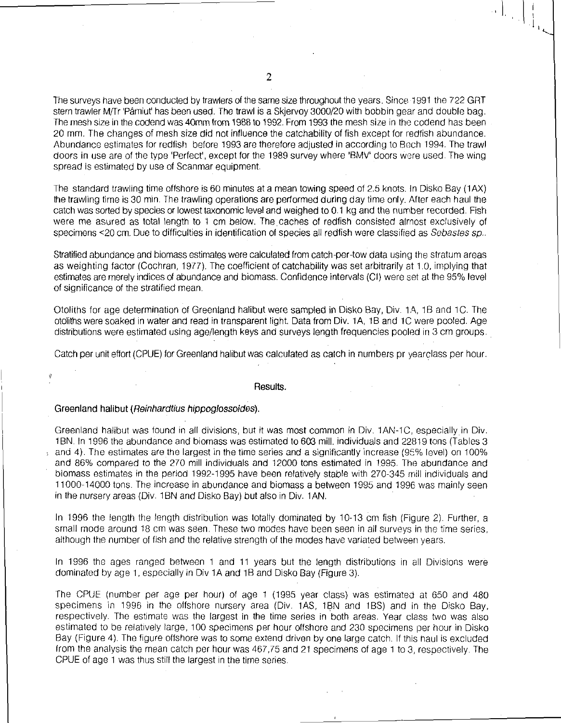The surveys have been conducted by trawlers of the same size throughout the years. Since 1991 the 722 GRT stern trawler M/Tr 'Pâmiut' has been used. The trawl is a Skjervoy 3000/20 with bobbin gear and double bag. The mesh size in the codend was 40mm from 1988 to 1992. From 1993 the mesh size in the codend has been 20 mm. The changes of mesh size did not influence the catchability of fish except for redfish abundance. Abundance estimates for redfish before 1993 are therefore adjusted in according to Bech 1994. The trawl doors in use are of the type 'Perfect', except for the 1989 survey where 'BMV' doors were used. The wing spread is estimated by use of Scanmar equipment.

The standard trawling time offshore is 60 minutes at a mean towing speed of 2.5 knots. In Disko Bay (1AX) the trawling time is 30 min. The trawling operations are performed during day time only. After each haul the catch was sorted by species or lowest taxonomic level and weighed to 0.1 kg and the number recorded. Fish were me asured as total length to 1 cm below. The caches of redfish consisted almost exclusively of specimens <20 cm. Due to difficulties in identification of species all redfish were classified as *Sebastes sp..* 

Stratified abundance and biomass estimates were calculated from catch-per-tow data using the stratum areas as weighting factor (Cochran, 1977). The coefficient of catchability was set arbitrarily at 1.0, implying that estimates are merely indices of abundance and biomass. Confidence intervals (CI) were set at the 95% level of significance of the stratified mean.

Otoliths for age determination of Greenland halibut were sampled in Disko Bay, Div. 1A, 1B and 1C. The otoliths were soaked in water and read in transparent light. Data from Div. 1A, 1B and 1C were pooled. Age distributions were estimated using age/length keys and surveys length frequencies pooled in 3 cm groups.

Catch per unit effort (CPUE) for Greenland halibut was calculated as catch in numbers pr yearclass per hour.

#### Results.

#### Greenland halibut *(Reinhardtius* hippoglossoides).

Greenland halibut was found in all divisions, but it was most common in Div. 1 AN-1C, especially in Div. 1BN. In 1996 the abundance and biomass was estimated to 603 mill. individuals and 22819 tons (Tables 3 and 4). The estimates are the largest in the time series and a significantly increase (95% level) on 100% and 86% compared to the 270 mill individuals and 12000 tons estimated in 1995. The abundance and biomass estimates in the period 1992-1995 have been relatively stable with 270-345 mill individuals and 11000-14000 tons. The increase in abundance and biomass a between 1995 and 1996 was mainly seen in the nursery areas (Div. 1BN and Disko Bay) but also in Div. 1AN.

In 1996 the length the length distribution was totally dominated by 10-13 cm fish (Figure 2). Further, a small mode around 18 cm was seen. These two modes have been seen in all surveys in the time series, although the number of fish and the relative strength of the modes have variated between years.

In 1996 the ages ranged between 1 and 11 years but the length distributions in all Divisions were dominated by age 1, especially in Div 1A and 1B and Disko Bay (Figure 3).

The CPUE (number per age per hour) of age 1 (1995 year class) was estimated at 650 and 480 specimens in 1996 in the offshore nursery area (Div. 1AS, 1BN and 1BS) and in the Disko Bay, respectively. The estimate was the largest in the time series in both areas. Year class two was also estimated to be relatively large, 100 specimens per hour offshore and 230 specimens per hour in Disko Bay (Figure 4). The figure offshore was to some extend driven by one large catch. If this haul is excluded from the analysis the mean catch per hour was 467,75 and 21 specimens of age 1 to 3, respectively. The CPUE of age 1 was thus still the largest in the time series.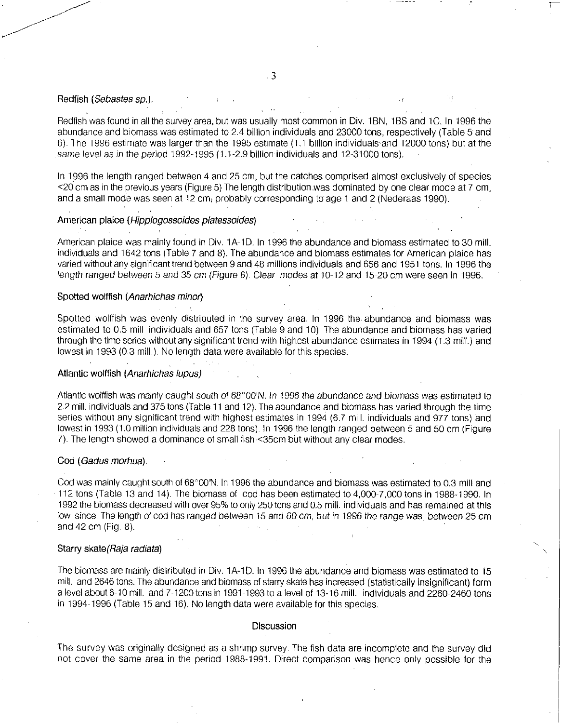#### Redfish *(Sebastes sp.).*

Redfish was found in all the survey area, but was usually most common in Div. 1BN, 1BS and 1C. In 1996 the abundance and biomass was estimated to 2.4 billion individuals and 23000 tons, respectively (Table 5 and 6). The 1996 estimate was larger than the 1995 estimate (1.1 billion individuals , and 12000 tons) but at the same level as in the period 1992-1995 (1.1-2.9 billion individuals and 12-31000 tons).

In 1996 the length ranged between 4 and 25 cm, but the catches comprised almost exclusively of species <20 cm as in the previous years (Figure 5) The length distribution .was dominated by one clear mode at 7 cm, and a small mode was seen at 12 cm, probably corresponding to age 1 and 2 (Nederaas 1990).

## American plaice *(Hipplogossoides platessoides)*

American plaice was mainly found in Div. 1A-1D. In 1996 the abundance and biomass estimated to 30 mill. individuals and 1642 tons (Table 7 and 8). The abundance and biomass estimates for American plaice has varied without any significant trend between 9 and 48 millions individuals and 656 and 1951 tons. In 1996 the length ranged *between* 5 and 35 *cm* (Figure 6). Clear modes at 10-12 and 15-20 cm were seen in 1996.

## Spotted wolffish *(Anarhichas minor)*

Spotted wolfish was evenly distributed in the survey area. In 1996 the. abundance and biomass was estimated to 0.5 mill individuals and 657 tons (Table 9 and 10). The abundance and biomass has varied through the time series without any significant trend with highest abundance estimates in 1994 (1.3 mill.) and lowest in 1993 (0.3 mill.). No length data were available for this species.

## Atlantic wolffish *(Anarhichas lupus)*

Atlantic wolffish was mainly caught south of 68°00'N. In 1996 the abundance and biomass was estimated to 2.2 mill. individuals and 375 tons (Table 11 and 12). The abundance and biomass has varied through the time series without any significant trend with highest estimates in 1994 (6.7 mill. individuals and 977 tons) and lowest in 1993 (1.0 million individuals and 228 tons). In 1996 the length ranged between 5 and 50 cm (Figure 7). The length showed a dominance of small fish .<35cm but without any clear modes.

## Cod *(Gadus morhua).*

Cod was mainly caught south of 68°00'N. In 1996 the abundance and biomass was estimated to 0.3 mill and 112 tons (Table 13 and 14). The biomass of cod has been estimated to 4,000-7,000 tons in 1988-1990. In 1992 the biomass decreased with over 95% to only 250 tons and 0.5 mill. individuals and has remained at this low since. The length of cod has ranged between 15 and 60 cm, but in 1996 the range was between 25 cm and 42 cm (Fig. 8).

### Starry skate(Raja *radiate)*

The biomass are mainly distributed in Div. 1A-1D. In 1996 the abundance and biomass was estimated to 15 mill. and 2646 tons. The abundance and biomass of starry skate has increased (statistically insignificant) form a level about 6-10 mill. and 7-1200 tons in 1991-1993 to a level of 13-16 mill. individuals and 2260-2460 tons in 1994-1996 (Table 15 and 16). No length data were available for this species.

#### **Discussion**

The survey was originally designed as a shrimp survey. The fish data are incomplete and the survey did not cover the same area in the period 1988-1991. Direct comparison was hence only possible for the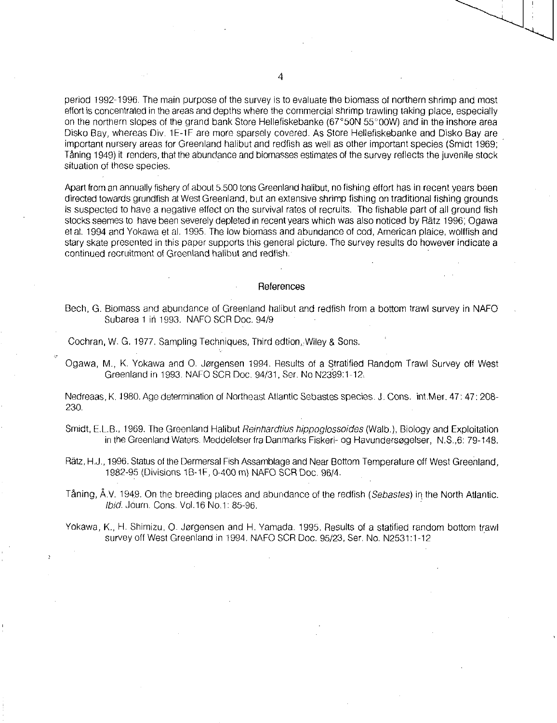period 1992-1996. The main purpose of the survey is to evaluate the biomass of northern shrimp and most effort is concentrated in the areas and depths where the commercial shrimp trawling taking place, especially on the northern slopes of the grand bank Store Hellefiskebanke (67°50N 55°00W) and in the inshore area Disko Bay, whereas Div. 1E-1F are more sparsely covered. As Store Hellefiskebanke and Disko Bay are important nursery areas for Greenland halibut and redfish as well as other important species (Smidt 1969; Taning 1949) it renders, that the abundance and biomasses estimates of the survey reflects the juvenile stock situation of these species.

Apart from an annually fishery of about 5.500 tons Greenland halibut, no fishing effort has in recent years been directed towards grundfish at West Greenland, but an extensive shrimp fishing on traditional fishing grounds is suspected to have a negative effect on the survival rates of recruits. The fishable part of all ground fish stocks seemes to have been severely depleted in recent years which was also noticed by Rätz 1996; Ogawa et al. 1994 and Yokawa et al. 1995. The low biomass and abundance of cod, American plaice, wolffish and stary skate presented in this paper supports this general picture. The survey results do however indicate a continued recruitment of Greenland halibut and redfish.

#### References

- Bech, G. Biomass and abundance of Greenland halibut and redfish from a bottom trawl survey in NAFO Subarea 1 in 1993. NAFO SCR Doc. 94/9
- Cochran, W. G. 1977. Sampling Techniques, Third edtion, Wiley & Sons.
- Ogawa, M., K. Yokawa and O. Jorgensen 1994. Results of a Stratified Random Trawl Survey off West Greenland in 1993. NAFO SCR Doc. 94/31, Ser. No N2399:1-12.

Nedreaas, K. 1980. Age determination of Northeast Atlantic Sebastes species. J. Cons. int.Mer. 47: 47: 208- 230.

- Smidt, E.L.B., 1969. The Greenland Halibut *Reinhardtius hippoglossoides* (Walb.), Biology and Exploitation in the Greenland Waters. Meddelelser fra Danmarks Fiskeri- og Havundersogelser, N.S.,6: 79-148.
- Ratz, H.J., 1996. Status of the Dermersal Fish Assamblage and Near Bottom Temperature off West Greenland, 1982-95 (Divisions 1B-1F, 0-400 m) NAFO SCR Doc. 96/4.

Taning, A.V. 1949. On the breeding places and abundance of the redfish *(Sebastes)* in the North Atlantic. *Ibid.* Journ. Cons. Vol.16 No.1: 85-96.

Yokawa, K., H. Shimizu, 0. Jorgensen and H. Yamada. 1995. Results of a statified random bottom trawl survey off West Greenland in 1994. NAFO SCR Doc. 95/23, Ser. No. N2531:1-12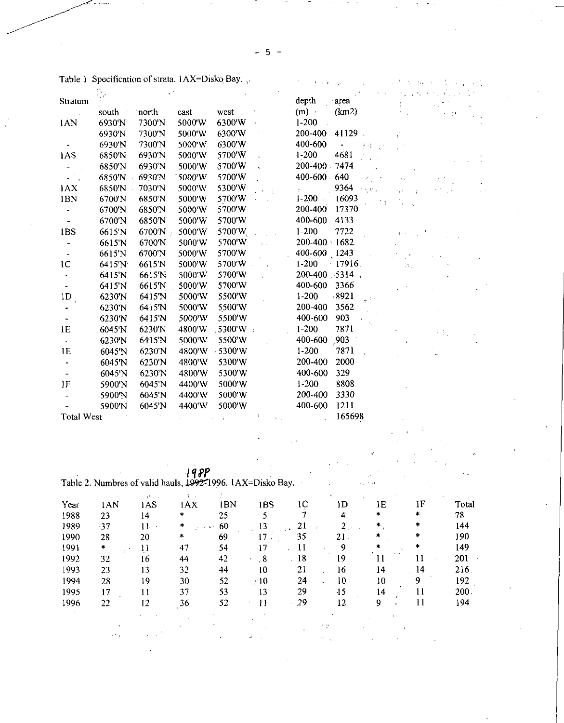|                          |        |           |         |                |                     | -5 -                    |                     |  |
|--------------------------|--------|-----------|---------|----------------|---------------------|-------------------------|---------------------|--|
| Stratum                  |        |           |         |                | depth               | area                    |                     |  |
|                          | south  | north     | east    | west           | (m)                 | (km2)                   |                     |  |
| 1AN                      | 6930'N | 7300'N    | 5000'W  | 6300'W         | $1 - 200$           |                         |                     |  |
|                          | 6930'N | 7300'N    | 5000'W  | 6300'W         | 200-400             | $41129$ .               |                     |  |
|                          | 6930'N | 7300'N    | 5000'W  | 6300'W         | 400-600             | $\sim$ $\sim$           |                     |  |
| 1AS                      | 6850'N | 6930'N    | 5000'W  | 5700'W         | $1 - 200$           | 4681                    |                     |  |
|                          | 6850'N | 6930'N    | 5000'W  | 5700'W         | 200-400 7474        |                         |                     |  |
|                          | 6850'N | 6930'N    | 15000 W | 5700'W         | 400-600 640         |                         | 不足                  |  |
| <b>IAX</b>               | 6850'N | 7030'N    | 5000'W  | 5300'W         |                     | 9364<br>不可疑。            |                     |  |
| 1BN                      | 6700'N | 6850'N    | 5000'W  | 5700'W         | $1 - 200$           | 16093                   | ÷,<br>$\rightarrow$ |  |
|                          | 6700'N | 6850'N    | 5000'W  | 5700'W         | 200-400             | 17370                   |                     |  |
| $\overline{\phantom{a}}$ | 6700'N | 6850'N    | 5000'W  | 5700'W         | 400-600             | 4133                    |                     |  |
| 1BS                      | 6615'N | $6700'$ N | 5000'W  | $\cdot$ 5700'W | $1 - 200$<br>$\sim$ | 7722                    |                     |  |
|                          | 6615'N | 6700'N    | 5000'W  | 5700'W         | 200-400 1682        |                         |                     |  |
|                          | 6615'N | 6700'N    | 5000'W  | 5700'W         | 400-600 1243        |                         |                     |  |
| 1 <sup>C</sup>           | 6415'N | 6615'N    | 5000'W  | 5700'W         | $1-200 - 17916$ .   |                         |                     |  |
|                          | 6415'N | 6615'N    | 5000'W  | 5700'W         | 200-400 5314        |                         |                     |  |
|                          | 6415'N | 6615'N    | 5000'W  | 5700'W         | 400-600             | -3366                   |                     |  |
| 1 <sub>D</sub>           | 6230'N | 6415'N    | 5000'W  | 5500'W         | $1-200$             | .8921<br>$e^{-i\omega}$ |                     |  |
|                          | 6230'N | 6415'N    | 5000'W  | 5500'W         | 200-400             | 3562                    |                     |  |
|                          | 6230'N | 6415'N    | 5000'W  | 5500'W         | 400-600             | 903                     |                     |  |
| ΙE                       | 6045'N | 6230'N    | 4800'W  | 5300'W -       | $1-200$             | 7871                    |                     |  |
|                          | 6230'N | 64.15'N   | 5000'W  | 5500'W         | 400-600             | .903                    |                     |  |
| 1E                       | 6045'N | 6230'N    | 4800'W  | $-5300 W$      | $1 - 200$           | 787 <u>î</u>            |                     |  |
|                          | 6045'N | 6230'N    | 4800'W  | 5300'W         | 200-400             | 2000                    |                     |  |
|                          | 6045'N | 6230'N    | 4800'W  | 5300'W         | 400-600             | 329                     |                     |  |
| 1F                       | 5900'N | 6045'N    | 4400'W  | 5000'W         | $1-200$             | 8808                    |                     |  |
|                          | 5900'N | 6045'N    | 4400'W  | 5000'W         | 200-400             | 3330                    |                     |  |
|                          | 5900'N | 6045'N    | 4400'W  | 5000'W         | 400-600             | 1211                    |                     |  |
| <b>Total West</b>        |        |           |         |                |                     | 165698                  |                     |  |

Table 1 Specification of strata. 1AX=Disko Bay...

 $\frac{198P}{P}$ Table 2. Numbres of valid hauls, 1992-1996. IAX=Disko Bay.

| Year | 1AN   | 1AS              | 1AX    | 1BN            | <b>IBS</b> | 1C                          | ıD                             | 1E     | ıF | Total |
|------|-------|------------------|--------|----------------|------------|-----------------------------|--------------------------------|--------|----|-------|
| 1988 | 23    | 14               | *      | 25             | 5.         |                             | 4                              | $\ast$ |    | 78    |
| 1989 | $-37$ | $-11$<br>$\cdot$ | $\ast$ | .60<br>South 1 | 13         | 21<br>12.477                |                                | 朱      |    | 144   |
| 1990 | 28    | 20               | *      | 69             | 17         | 35                          | 21                             |        | *  | 190   |
| 1991 | .∗    |                  | 47     | 54             | 17         | 11                          | 9                              | 素      | *  | 149   |
| 1992 | 32    | 16               | 44     | 42             | -8         | $-18$<br>$\hat{\mathbf{z}}$ | 19                             |        | 11 | 201   |
| 1993 | 23    | 13               | 32     | 44             | 10         | 21                          | 16                             | 14     | 14 | 216   |
| 1994 | 28    | 19               | 30     | 52             | $\div 10$  | 24                          | 10                             | 10     | 9  | 192   |
| 1995 | 17    | 11               | 37     | 53             | 13         | 29                          | $-15$                          | 14     | 11 | 200.  |
| 1996 | 22    | $12-$            | 36     | 52             |            | 29                          | 12                             | 9      |    | 194   |
|      |       |                  |        |                |            |                             |                                |        |    |       |
|      |       |                  |        |                |            |                             | $\mathcal{L} = 2\mathcal{L}_1$ |        |    |       |
|      |       |                  |        |                |            |                             |                                |        |    |       |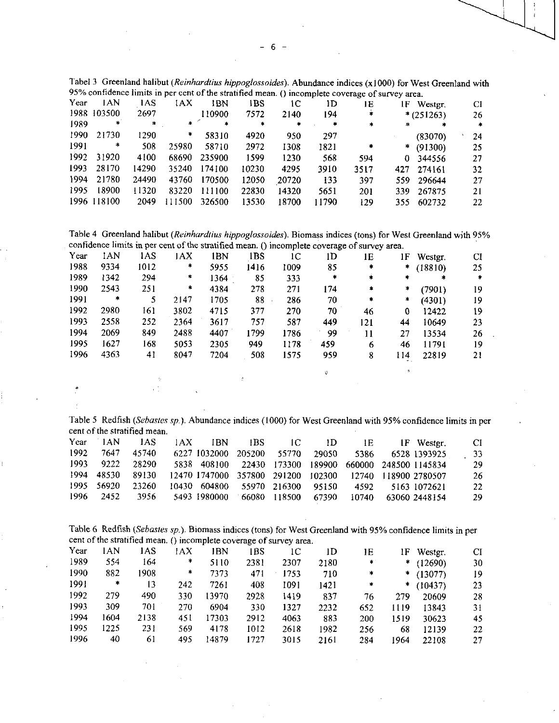|              |        |         |                |       |     |              | Tabel 3 Greenland halibut (Reinhardtius hippoglossoides). Abundance indices (x1000) for West Greenland with |    |
|--------------|--------|---------|----------------|-------|-----|--------------|-------------------------------------------------------------------------------------------------------------|----|
|              |        |         |                |       |     |              | 95% confidence limits in per cent of the stratified mean. () incomplete coverage of survey area.            |    |
| Year IAN IAS |        | IAX IBN | - IBS -        | -1С - | 11) | $\mathbf{E}$ | IF Wester                                                                                                   | CI |
| 1000, 102500 | $\sim$ | 110000  | $\overline{a}$ |       |     |              | 1.75.75.75.75.75                                                                                            |    |

|       |             |        |        |        |       |       | .         | . .     |   | $\cdots$ $\cdots$ | ◡  |
|-------|-------------|--------|--------|--------|-------|-------|-----------|---------|---|-------------------|----|
|       | 1988 103500 | 2697   |        | 110900 | 7572  | 2140  | 194       | *       |   | $*(251263)$       | 26 |
| 1989. | *           | $\sim$ | * 1    | $\ast$ | *     | *     | $\bullet$ | $\star$ | * |                   | *  |
| 1990. | 21730       | 1290   | *      | 58310  | 4920  | 950   | 297       |         |   | (83070)           | 24 |
| 1991  | *           | 508    | 25980  | 58710  | 2972  | 1308  | 1821      | *       |   | * $(91300)$       | 25 |
| 1992. | 31920       | 4100   | 68690  | 235900 | 1599  | 1230  | 568       | 594     |   | 0 344556          | 27 |
| 1993. | 28170       | 14290  | 35240  | 174100 | 10230 | 4295  | 3910      | 3517    |   | 427 274161        | 32 |
| 1994. | 21780       | 24490  | 43760  | 170500 | 12050 | 20720 | 133       | 397     |   | 559 296644        | 27 |
| 1995  | 18900       | 11320  | 83220  | 111100 | 22830 | 14320 | 5651      | 201     |   | 339 267875        | 21 |
|       | 1996 118100 | 2049   | 111500 | 326500 | 13530 | 18700 | 11790     | 129     |   | 355 602732        | 22 |
|       |             |        |        |        |       |       |           |         |   |                   |    |

Table 4 Greenland halibut *(Reinhardtius hippoglossoides).* Biomass indices (tons) for West Greenland with 95% confidence limits in per cent of the stratified mean. () incomplete coverage of survey area.

| Year | 1AN    | 1AS  | 1AX  | 1BN  | 1BS  | 1C   | 1D     | 1E           | 1F     | Westgr. | CI     |
|------|--------|------|------|------|------|------|--------|--------------|--------|---------|--------|
| 1988 | 9334   | 1012 | *    | 5955 | 1416 | 1009 | 85     | $\ast$       | $\ast$ | (18810) | 25     |
| 1989 | 1342   | 294  | *    | 1364 | 85   | 333  | $\ast$ | $\ast$       | *      | *       | $\ast$ |
| 1990 | 2543   | 251  | *    | 4384 | 278  | 271  | 174    | $\pmb{\ast}$ | *      | (7901)  | 19     |
| 1991 | $\ast$ | 5    | 2147 | 1705 | 88   | 286  | 70     | $\ast$       | *      | (4301)  | 19     |
| 1992 | 2980   | 161  | 3802 | 4715 | 377  | 270  | 70     | 46           | 0      | 12422   | 19     |
| 1993 | 2558   | 252  | 2364 | 3617 | 757  | 587  | 449    | 121          | 44     | 10649   | 23     |
| 1994 | 2069   | 849  | 2488 | 4407 | 1799 | 1786 | 99     | 11           | 27     | 13534   | 26     |
| 1995 | 1627   | 168  | 5053 | 2305 | 949  | 1178 | 459    | 6            | 46     | 11791   | 19     |
| 1996 | 4363   | 41   | 8047 | 7204 | 508  | 1575 | 959    | 8            | 114    | 22819   | 21     |
|      |        |      |      |      |      |      | ŵ      |              | ø.     |         |        |
|      |        | ÷.   |      |      |      |      |        |              |        |         |        |

Table 5 Redfish *(Sebastes sp.).* Abundance indices (1000) for West Greenland with 95% confidence limits in per cent of the stratified mean.

| Year  | 1AN   | 1AS.  | 1AX          | TRN. | TBS.         | 1C           | ID    | 1E.   | IF Wester.                                              | CI. |
|-------|-------|-------|--------------|------|--------------|--------------|-------|-------|---------------------------------------------------------|-----|
| 1992. | 7647  | 45740 | 6227 1032000 |      | 205200       | 55770 29050  |       | 5386  | 6528 1393925                                            | -33 |
| 1993  | 9222  | 28290 | 5838 408100  |      |              |              |       |       | 22430 173300 189900 660000 248500 1145834               | 29  |
| 1994  | 48530 | 89130 |              |      |              |              |       |       | 12470 1747000 357800 291200 102300 12740 118900 2780507 | 26  |
| 1995. | 56920 | 23260 | 10430 604800 |      | 55970 216300 |              | 95150 | 4592  | 5163 1072621                                            | 22  |
| 1996  | 2452  | 3956. | 5493 1980000 |      |              | 66080 118500 | 67390 | 10740 | 63060 2448154                                           | 29  |

Table 6 Redfish *(Sebastes sp.).* Biomass indices (tons) for West Greenland with 95% confidence limits in per cent of the stratified mean. () incomplete coverage of survey area.

| Year | 1AN  | 1AS  | 1 A X  | IBN   | 1BS  | ıс   | lD   | 1E  | 1F   | Westgr.     | CI |
|------|------|------|--------|-------|------|------|------|-----|------|-------------|----|
| 1989 | 554  | 164  | *      | 5110  | 2381 | 2307 | 2180 | *   |      | $*$ (12690) | 30 |
| 1990 | 882  | 1908 | $\ast$ | 7373  | 471  | 1753 | 710  | *   |      | $*$ (13077) | 19 |
| 1991 | *    | 13   | 242    | 7261  | 408  | 1091 | 1421 | *   | .≉   | (10437)     | 23 |
| 1992 | 279  | 490  | 330    | 13970 | 2928 | 1419 | 837  | 76  | 279  | 20609       | 28 |
| 1993 | 309  | 701  | 270    | 6904  | 330  | 1327 | 2232 | 652 | 1119 | 13843       | 31 |
| 1994 | 1604 | 2138 | 451    | 17303 | 2912 | 4063 | 883  | 200 | 1519 | 30623       | 45 |
| 1995 | 1225 | 231  | 569    | 4178  | 1012 | 2618 | 1982 | 256 | 68   | 12139       | 22 |
| 1996 | 40   | 61   | 495    | 14879 | 1727 | 3015 | 2161 | 284 | 1964 | 22108       | 27 |

6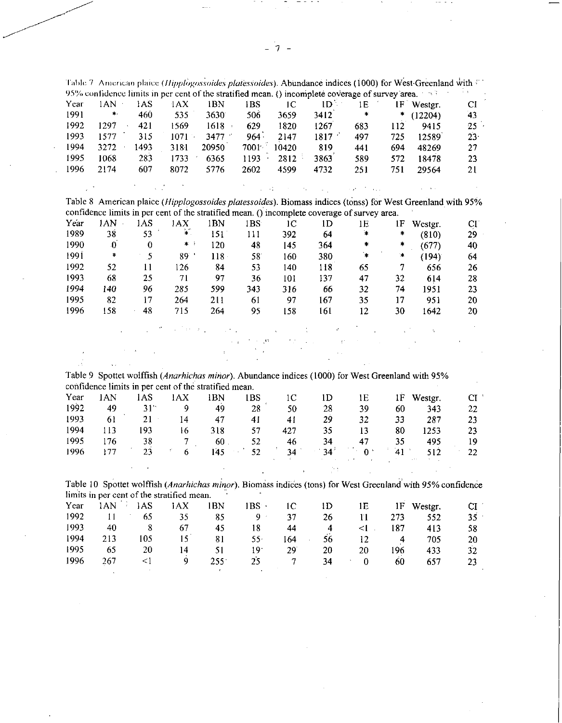|      |                                            |                         |                                  |                                                       |                                                                  |                                               |                                                                                                            |                  |                | Table 7. American plaice (Hipplogossoides platessoides). Abundance indices (1000) for West Greenland with 400 |        |
|------|--------------------------------------------|-------------------------|----------------------------------|-------------------------------------------------------|------------------------------------------------------------------|-----------------------------------------------|------------------------------------------------------------------------------------------------------------|------------------|----------------|---------------------------------------------------------------------------------------------------------------|--------|
|      |                                            |                         |                                  |                                                       |                                                                  |                                               | 95% confidence limits in per cent of the stratified mean. () incomplete coverage of survey area. $\sim$ 33 |                  |                |                                                                                                               |        |
| Year | 1AN                                        | 1AS                     | 4AX                              | <b>IBN</b>                                            | 1BS                                                              | 1 <sup>C</sup>                                | 1D                                                                                                         | 1E               |                | 1F Westgr.                                                                                                    | CI     |
| 1991 | $\pmb{\ast}$ .                             | 460                     | 535                              | 3630                                                  | 506                                                              | 3659                                          | 3412                                                                                                       | $\pmb{\ast}$     | ÷              | (12204)                                                                                                       | 43     |
| 1992 | 1297                                       | 421                     | 1569                             | $1618 -$                                              | 629                                                              | 1820                                          | 1267                                                                                                       | 683              | 112            | 9415                                                                                                          | 25     |
| 1993 | 1577                                       | 315                     | $1071 -$                         | 3477                                                  | $964 -$                                                          | 2147                                          | 1817                                                                                                       | 497              | 725            | 12589                                                                                                         | $23 -$ |
| 1994 | 3272                                       | 1493                    | 3181                             | 20950                                                 | $7001^{-3}$                                                      | 10420                                         | 819                                                                                                        | 441              | 694            | 48269                                                                                                         | 27     |
| 1995 | 1068                                       | 283                     | 1733                             | 6365                                                  | 1193                                                             | 2812                                          | 3863 <sup>'</sup>                                                                                          | 589              | 572            | 18478                                                                                                         | 23     |
| 1996 | 2174                                       | 607                     | 8072                             | 5776                                                  | 2602                                                             | 4599                                          | 4732                                                                                                       | 251              | 751            | 29564                                                                                                         | 21     |
|      |                                            |                         |                                  |                                                       |                                                                  |                                               |                                                                                                            |                  |                |                                                                                                               |        |
|      |                                            |                         |                                  |                                                       | $\zeta=11$                                                       |                                               | $\Delta \sim 10^{-1}$                                                                                      | <b>September</b> |                |                                                                                                               |        |
|      |                                            |                         |                                  |                                                       |                                                                  |                                               |                                                                                                            |                  |                | Table 8 American plaice (Hipplogossoides platessoides). Biomass indices (tonss) for West Greenland with 95%   |        |
|      |                                            |                         |                                  |                                                       |                                                                  |                                               | confidence limits in per cent of the stratified mean. () incomplete coverage of survey area.               |                  |                |                                                                                                               |        |
| Year | 1AN                                        | 1AS                     | AX                               | 1BN                                                   | 1BS                                                              | 1 <sup>C</sup>                                | 1 <sub>D</sub>                                                                                             | 1E               | 1F             | Westgr.                                                                                                       | CI     |
| 1989 | 38                                         | 53                      | ¥.                               | 151                                                   | 111                                                              | 392                                           | 64                                                                                                         | $\pmb{\ast}$     | $\ast$         | (810)                                                                                                         | 29     |
| 1990 | $\cdot 0$                                  | $\boldsymbol{0}$        | $\ast$                           | 120                                                   | 48                                                               | 145                                           | 364                                                                                                        | $\ast$           | $\ast$         | (677)                                                                                                         | 40     |
| 1991 | $\ast$                                     | $\overline{\mathbf{5}}$ | 89                               | $118 -$                                               | 58                                                               | 160                                           | 380                                                                                                        | $\ddot{}$        | $\star$        | (194)                                                                                                         | 64     |
| 1992 | 52                                         | 11                      | 126                              | 84                                                    | 53                                                               | 140                                           | 118                                                                                                        | 65               | $\tau$         | 656                                                                                                           | 26     |
| 1993 | 68                                         | 25                      | 71                               | 97                                                    | 36                                                               |                                               | 137                                                                                                        | 47               | 32             |                                                                                                               |        |
| 1994 | 140                                        | 96                      |                                  |                                                       |                                                                  | 101                                           |                                                                                                            |                  |                | 614                                                                                                           | 28     |
|      |                                            |                         | 285                              | 599                                                   | 343                                                              | 316                                           | 66                                                                                                         | 32               | 74             | 1951                                                                                                          | 23     |
| 1995 | 82                                         | 17                      | 264                              | 211                                                   | 61                                                               | 97                                            | 167                                                                                                        | 35               | 17             | 951                                                                                                           | 20     |
| 1996 | 158                                        | 48                      | 715                              | 264                                                   | 95                                                               | 158                                           | 161                                                                                                        | 12               | 30             | 1642                                                                                                          | 20     |
|      |                                            |                         |                                  | Proposed a control                                    |                                                                  | All the Control of Control                    | $\mathcal{A}$                                                                                              |                  |                | $\sim$ $\eta$                                                                                                 |        |
|      |                                            |                         |                                  |                                                       | $\mathcal{L}_{\text{max}} = 0.01$ and $\mathcal{O}(\mathcal{O})$ | $\mathcal{O}(2\pi)$ . The $\mathcal{O}(2\pi)$ | $\sim 10^{11}$ m $\rm{M}_{\odot}$                                                                          |                  |                |                                                                                                               |        |
|      |                                            |                         |                                  |                                                       |                                                                  |                                               |                                                                                                            |                  |                |                                                                                                               |        |
|      |                                            |                         |                                  |                                                       |                                                                  |                                               |                                                                                                            |                  |                |                                                                                                               |        |
|      |                                            |                         |                                  |                                                       |                                                                  |                                               |                                                                                                            |                  |                |                                                                                                               |        |
|      | $\ddot{\phantom{a}}$                       |                         |                                  |                                                       |                                                                  |                                               |                                                                                                            |                  |                |                                                                                                               |        |
|      |                                            |                         |                                  |                                                       |                                                                  |                                               |                                                                                                            |                  |                | Table 9 Spottet wolffish (Anarhichas minor). Abundance indices (1000) for West Greenland with 95%             |        |
|      |                                            |                         |                                  | confidence limits in per cent of the stratified mean. |                                                                  |                                               |                                                                                                            |                  |                |                                                                                                               |        |
| Year | <b>IAN</b>                                 | 1AS                     | <b>IAX</b>                       | 1BN                                                   | 1BS                                                              | 1 <sup>C</sup>                                | 1D                                                                                                         | 1E               | 1F             | Westgr.                                                                                                       | CI     |
| 1992 | 49                                         | $31^{\circ}$            | 9                                | 49                                                    | 28                                                               | 50                                            | 28                                                                                                         | 39               | 60             | 343                                                                                                           | 22     |
| 1993 | 61                                         | 21<br>$\epsilon$        | 14                               | 47                                                    | 41                                                               | 41                                            | 29                                                                                                         | 32               | 33             | 287                                                                                                           | 23     |
| 1994 | 113                                        | 193                     | 16                               | 318                                                   | 57                                                               | 427                                           | 35                                                                                                         | 13               | 80             | 1253                                                                                                          | 23     |
| 1995 | 176                                        | 38                      | 7                                | $60$ .                                                | 52                                                               | 46                                            | 34                                                                                                         | 47               | 35             | 495                                                                                                           | 19     |
| 1996 | 177                                        | 23                      | $\mathbf{r}$<br>$\boldsymbol{6}$ | 145                                                   | 52                                                               | 34                                            | 34 <sup>3</sup>                                                                                            | $0+$             | 41             | 512                                                                                                           | $22\,$ |
|      |                                            |                         |                                  |                                                       |                                                                  |                                               |                                                                                                            |                  |                |                                                                                                               |        |
|      |                                            |                         |                                  |                                                       |                                                                  |                                               |                                                                                                            |                  |                |                                                                                                               |        |
|      |                                            |                         |                                  |                                                       |                                                                  |                                               |                                                                                                            |                  |                | Table 10 Spottet wolffish (Anarhichas minor). Biomass indices (tons) for West Greenland with 95% confidence   |        |
|      | limits in per cent of the stratified mean. |                         |                                  |                                                       |                                                                  |                                               |                                                                                                            |                  |                |                                                                                                               |        |
| Year | $1AN$ <sup>2</sup>                         | 1AS                     | <b>JAX</b>                       | <b>IBN</b>                                            | $IBS$ .                                                          | 1 <sup>C</sup>                                | 1 <sub>D</sub>                                                                                             | 1E               | 1F             | Westgr.                                                                                                       | CI     |
| 1992 | 11                                         | 65                      | 35                               | 85                                                    | 9 <sup>o</sup>                                                   | 37                                            | 26                                                                                                         | 11               | 273            | 552                                                                                                           | $35 -$ |
| 1993 | 40                                         | $\bf{8}$                | 67                               | 45                                                    | 18                                                               | 44                                            | $\overline{4}$                                                                                             | $\leq$ .         | 187            | 413                                                                                                           | 58     |
| 1994 | 213                                        | 105                     | 15                               | 81                                                    | 55 <sup>0</sup>                                                  | 164                                           | 56                                                                                                         | 12               |                |                                                                                                               |        |
| 1995 | 65                                         | 20                      |                                  |                                                       | 19 <sup>°</sup>                                                  |                                               |                                                                                                            |                  | $\overline{A}$ | 705                                                                                                           | 20     |
|      |                                            | $\leq$                  | 14<br>9                          | 51                                                    |                                                                  | 29                                            | 20                                                                                                         | 20               | 196            | 433                                                                                                           | 32     |
| 1996 | 267                                        |                         |                                  | 255<br>¢                                              | 25                                                               | 7                                             | 34                                                                                                         | $\boldsymbol{0}$ | 60             | 657                                                                                                           | 23     |

 $\bar{z}$ 

- 7

 $\sim$ 

itir film

 $\sim$ 

 $\sim$ 

 $\sigma_{\rm{eff}}$ 

 $\sim$ 

 $\sim$  77.5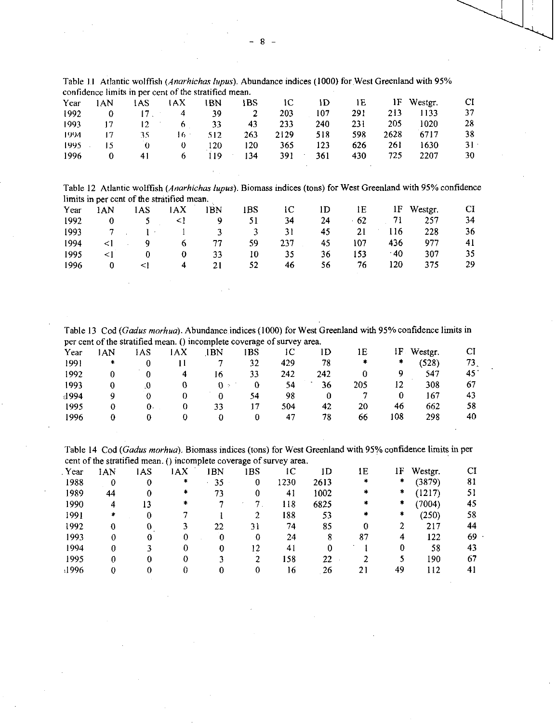|  | Table 11 Atlantic wolffish (Anarhichas lupus). Abundance indices (1000) for West Greenland with 95% |  |  |  |
|--|-----------------------------------------------------------------------------------------------------|--|--|--|
|  | confidence limits in per cent of the stratified mean.                                               |  |  |  |

|      |       | confidence limits in per cent of the stratified mean. |      |     |     |      |     |     |      |         |        |
|------|-------|-------------------------------------------------------|------|-----|-----|------|-----|-----|------|---------|--------|
| Year | 1 A N | 1AS                                                   | 1AX  | IBN | 1BS | łС   | ۱D  | 1E  | 1F   | Wester. | CI     |
| 1992 |       |                                                       | 4    | 39  |     | 203  | 107 | 291 | 213  | 1133    | 37     |
| 1993 | 17    | 12.                                                   |      | 33  | 43  | 233  | 240 | 231 | 205  | 1020    | 28     |
| 1994 | 17    | 35                                                    | 16 : | 512 | 263 | 2129 | 518 | 598 | 2628 | 6717    | 38     |
| 1995 | 15    | 0                                                     | U    | 120 | 120 | 365  | 123 | 626 | 261  | 1630    | $31 -$ |
| 1996 |       | 41                                                    |      | 19، | 134 | 391  | 361 | 430 | 725  | 2207    | 30     |

Table 12 Atlantic wolffish *(Anarhichas lupus).* Biomass indices (tons) for West Greenland with 95% confidence limits in per cent of the stratified mean.

| Year | IAN | 1AS | 1AX | 1BN | 1BS | ıс  | 1D. | 1E   | 1F.   | Westgr. | <b>CI</b> |
|------|-----|-----|-----|-----|-----|-----|-----|------|-------|---------|-----------|
| 1992 |     |     |     |     | 51  | 34  | 24  | 62   |       | 257     | 34        |
| 1993 |     |     |     | ٦.  |     | 31  | 45  | 21   | ı 16  | 228     | 36        |
| 1994 |     |     | O   | 77  | 59  | 237 | 45  | 107  | 436   | 977     | 41        |
| 1995 |     |     |     | 33  | 10  | 35  | 36  | 153. | $-40$ | 307     |           |
| 1996 |     |     | 4   | 21  | 52  | 46  | 56  | 76   | 120   |         | 29        |

Table 13 Cod *(Gadus morhua).* Abundance indices (1000) for West Greenland with 95% confidence limits in per cent of the stratified mean. () incomplete coverage of survey area.

| Year  | AN | IAS | IAX | IBN | 1BS | ıс  |     | 1E  | IF              | Westgr. |                 |
|-------|----|-----|-----|-----|-----|-----|-----|-----|-----------------|---------|-----------------|
| 1991  | *  |     |     |     | 32  | 429 | 78  | ×   | *               | (528)   | 73 <sub>s</sub> |
| 1992  |    |     | 4   | 16  | 33  | 242 | 242 |     |                 | 547     | 45              |
| 1993  |    | J.O |     | 0⇒  | 0   | 54  | 36  | 205 | 12 <sup>2</sup> | 308     | 67              |
| -1994 |    |     |     |     | 54  | 98  |     |     |                 | 167     | 43              |
| 1995  |    | 0.  |     | 33  | 17  | 504 | 42  | 20  | 46              | 662     | 58              |
| 1996  |    |     |     |     |     | 47  | 78  | 66  | 108             | 298     | 40              |
|       |    |     |     |     |     |     |     |     |                 |         |                 |

Table 14 Cod *(Gadus morhua).* Biomass indices (tons) for West Greenland with 95% confidence limits in per cent of the stratified mean. () incomplete coverage of survey area.

| Year  | 1AN | IAS | 1AX | <b>BN</b> | 1BS | ١C   | 1D   | 1E | 1F | Westgr. | CI |
|-------|-----|-----|-----|-----------|-----|------|------|----|----|---------|----|
| 1988  |     |     | *   | 35        | 0   | 1230 | 2613 |    | *  | (3879)  | 81 |
| 1989  | 44  |     | *   | 73        |     | 41   | 1002 | 宇  | *  | (1217)  | 51 |
| 1990  | 4   | 13  | *   |           |     | 118  | 6825 | *  | *  | (7004)  | 45 |
| 1991  | *   |     |     |           |     | 188  | 53   | *  | *  | (250)   | 58 |
| 1992  |     |     |     | 22        | 31  | 74   | 85   | 0  |    | 217     | 44 |
| 1993  |     |     | 0   | 0         |     | 24   | 8    | 87 | 4  | 122     | 69 |
| 1994  |     |     |     |           | 12  | 41   | 0    |    |    | 58      | 43 |
| 1995  |     |     | 0   |           |     | 158  | 22   |    |    | 190.    | 67 |
| .1996 |     |     | 0   |           | 0   | 16.  | 26   | 21 | 49 | 112     | 41 |
|       |     |     |     |           |     |      |      |    |    |         |    |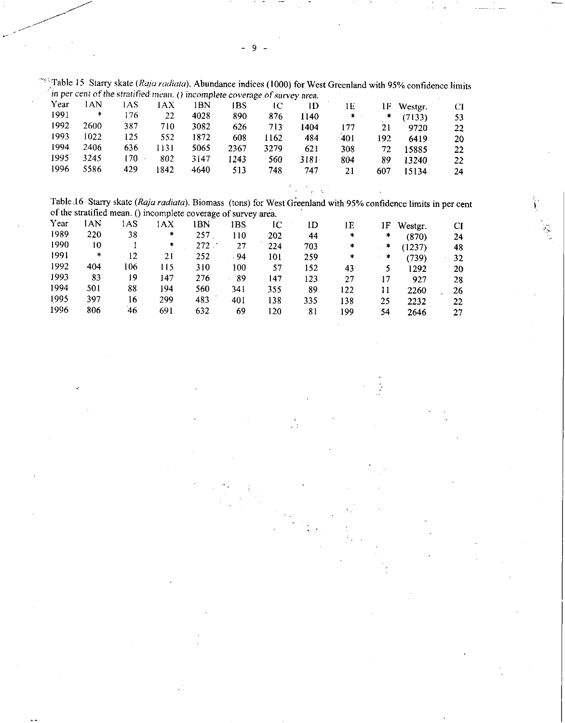<sup>l</sup>\* ::Table 15 Starry skate *(Raja radiata).* Abundance indices (1000) for West Greenland with 95% confidence limits *in per cent of the stratified mean. () incomplete coverage of. urvey area.* 

|      |      |     | $\sim$ |      |      |      | .     |        |     |         |    |
|------|------|-----|--------|------|------|------|-------|--------|-----|---------|----|
| Year | l AN | AS  | 1 A X  | BN   | IBS  |      | ID    | lΕ     | 1F  | Westgr. | Cl |
| 1991 | *    | 176 | 22     | 4028 | 890  | 876  | -140  | $\ast$ | *   | (7133)  | 53 |
| 1992 | 2600 | 387 | 710    | 3082 | 626  | 713  | 1404  | 177    | 21  | 9720    | 22 |
| 1993 | 1022 | 125 | 552    | 1872 | 608  | 1162 | 484   | 401    | 192 | 6419    | 20 |
| 1994 | 2406 | 636 | 131    | 5065 | 2367 | 3279 | 621   | 308    | 72  | 15885   | 22 |
| 1995 | 3245 | 170 | 802    | 3147 | 1243 | 560  | 3181. | 804    | 89  | 13240   | 22 |
| 1996 | 5586 | 429 | 842    | 4640 | 513  | 748  | 747   | 21     | 607 | 15134   | 24 |
|      |      |     |        |      |      |      |       |        |     |         |    |

 $\epsilon$ 

Table ,16 Starry skate *(Raja radiata).* Biomass (tons) for West Greenland with 95% confidence limits in per cent of the stratified mean. () incomplete coverage of survey area. •

| Year | lan | lAS | AΧ  | 1BN     | IBS | ıC.  | 1D  | 1E  | IF | Westgr. | CI |
|------|-----|-----|-----|---------|-----|------|-----|-----|----|---------|----|
| 1989 | 220 | 38  | *   | 257     | 110 | -202 | 44  | *   | *  | (870)   | 24 |
| 1990 | 10  |     | *   | $272$ . | 27  | 224  | 703 | *   | ÷  | (1237)  | 48 |
| 1991 | *   | 12  | 21  | 252     | .94 | 101  | 259 | *   | *  | (739)   | 32 |
| 1992 | 404 | 106 | 115 | 310     | 100 | 57   | 152 | 43  |    | 1292    | 20 |
| 1993 | 83  | 19  | 147 | 276     | 89  | 147  | 123 | 27  | 17 | 927     | 28 |
| 1994 | 501 | 88  | 194 | 560     | 341 | 355  | 89  | 122 | 11 | 2260    | 26 |
| 1995 | 397 | 16  | 299 | 483     | 401 | 138  | 335 | 138 | 25 | 2232    | 22 |
| 1996 | 806 | 46  | 691 | 632     | 69  | 120  | 81  | 199 | 54 | 2646    | 27 |

9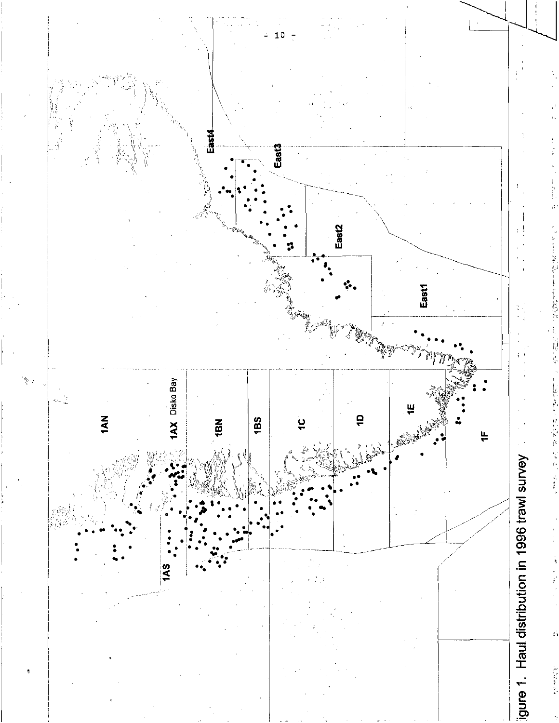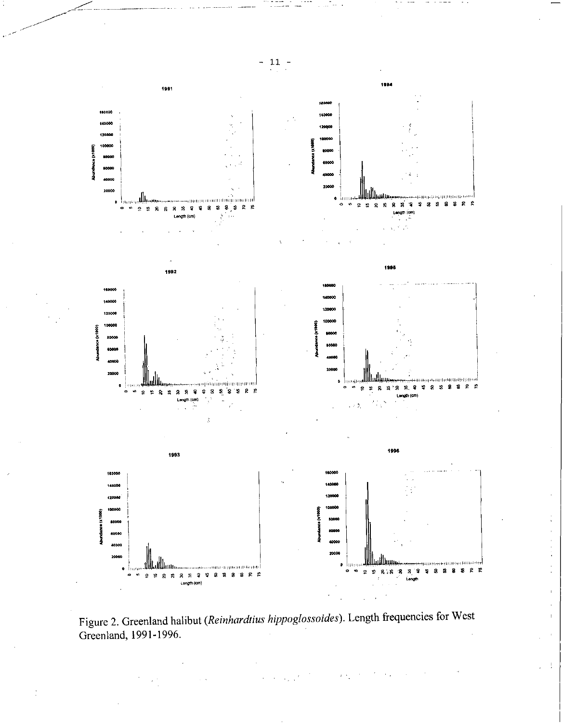

Figure 2. Greenland halibut (Reinhardtius hippoglossoides). Length frequencies for West Greenland, 1991-1996.

 $\gamma$  .

÷

 $11$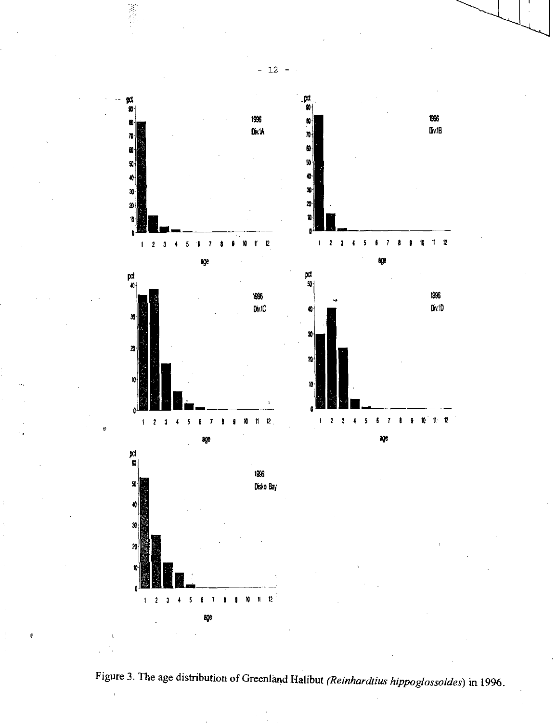

Figure 3. The age distribution of Greenland Halibut *(Reinhardtius hippoglossoides)* in 1996.

— 12 —

1400年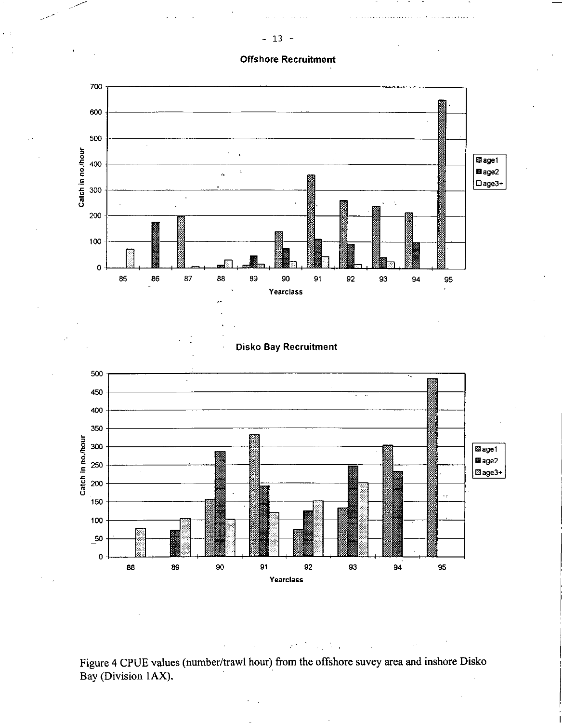## **Offshore Recruitment**



Figure 4 CPUE values (number/trawl hour) from the offshore suvey area and inshore Disko Bay (Division 1AX).

 $\mathcal{C}^{(1)}$ 

÷,

 $\ddot{\phantom{a}}$ 

13  $\overline{\phantom{0}}$  $\overline{\phantom{a}}$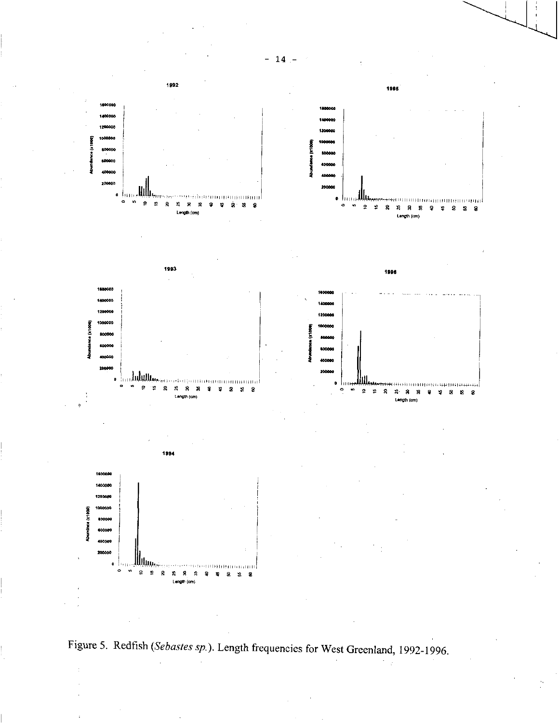



 $\mathbf{1}$ 4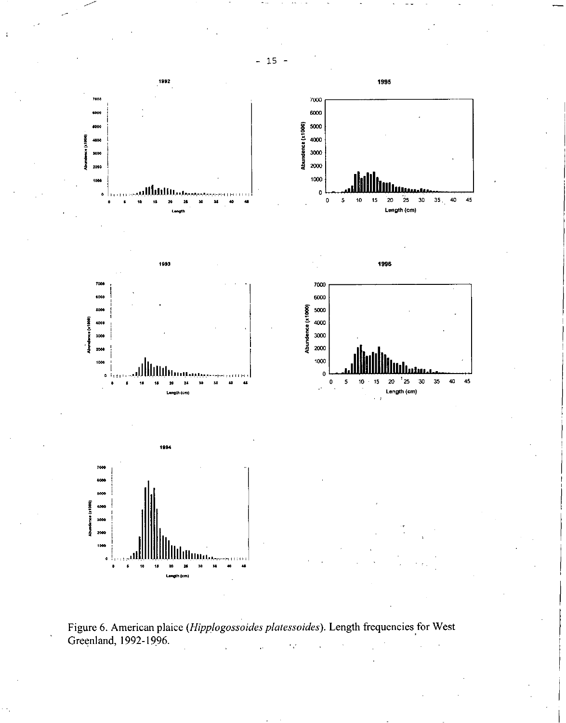



 $-15 -$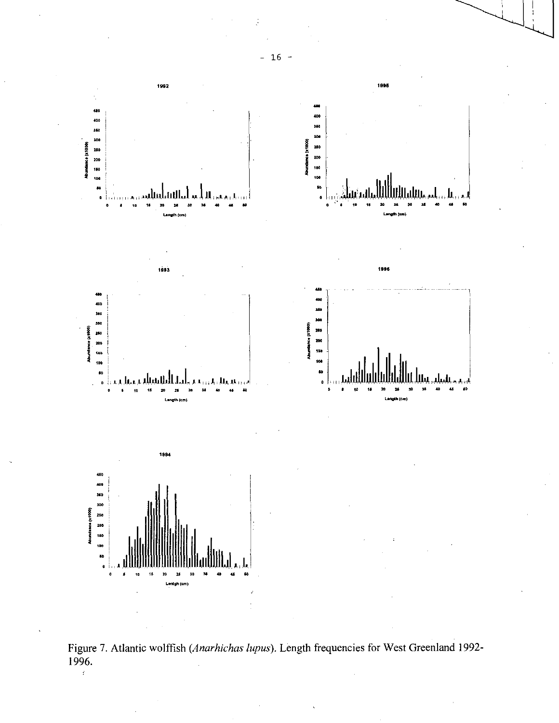